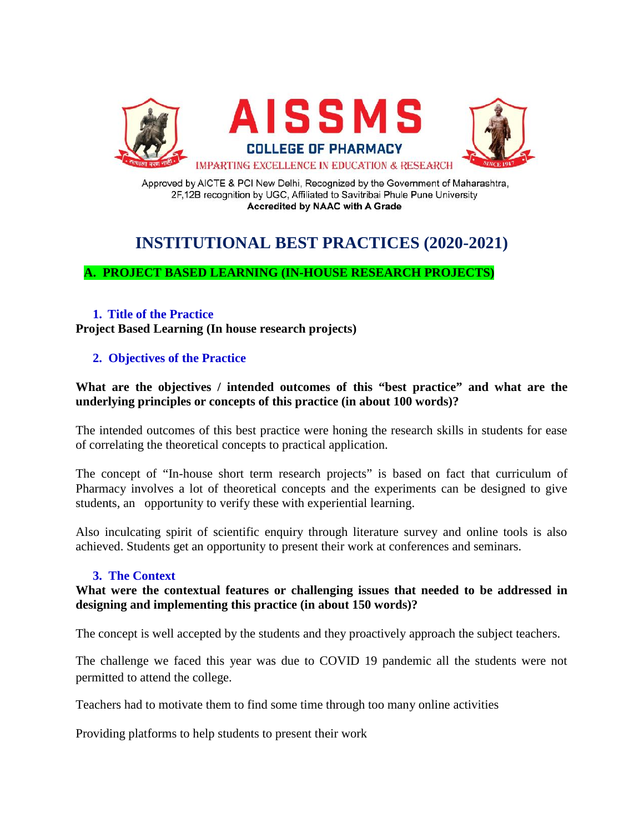

Approved by AICTE & PCI New Delhi, Recognized by the Government of Maharashtra, 2F,12B recognition by UGC, Affiliated to Savitribai Phule Pune University **Accredited by NAAC with A Grade** 

# **INSTITUTIONAL BEST PRACTICES (2020-2021)**

# **A. PROJECT BASED LEARNING (IN-HOUSE RESEARCH PROJECTS)**

# **1. Title of the Practice**

**Project Based Learning (In house research projects)**

# **2. Objectives of the Practice**

#### **What are the objectives / intended outcomes of this "best practice" and what are the underlying principles or concepts of this practice (in about 100 words)?**

The intended outcomes of this best practice were honing the research skills in students for ease of correlating the theoretical concepts to practical application.

The concept of "In-house short term research projects" is based on fact that curriculum of Pharmacy involves a lot of theoretical concepts and the experiments can be designed to give students, an opportunity to verify these with experiential learning.

Also inculcating spirit of scientific enquiry through literature survey and online tools is also achieved. Students get an opportunity to present their work at conferences and seminars.

# **3. The Context**

#### **What were the contextual features or challenging issues that needed to be addressed in designing and implementing this practice (in about 150 words)?**

The concept is well accepted by the students and they proactively approach the subject teachers.

The challenge we faced this year was due to COVID 19 pandemic all the students were not permitted to attend the college.

Teachers had to motivate them to find some time through too many online activities

Providing platforms to help students to present their work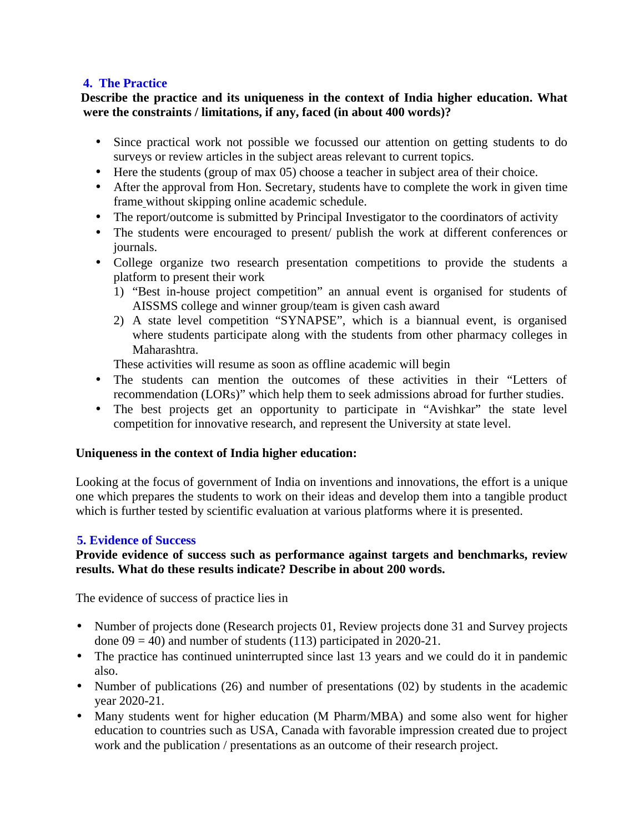# **4. The Practice**

# **Describe the practice and its uniqueness in the context of India higher education. What were the constraints / limitations, if any, faced (in about 400 words)?**

- Since practical work not possible we focussed our attention on getting students to do surveys or review articles in the subject areas relevant to current topics.
- Here the students (group of max 05) choose a teacher in subject area of their choice.
- After the approval from Hon. Secretary, students have to complete the work in given time frame without skipping online academic schedule.
- The report/outcome is submitted by Principal Investigator to the coordinators of activity
- The students were encouraged to present/ publish the work at different conferences or journals.
- College organize two research presentation competitions to provide the students a platform to present their work
	- 1) "Best in-house project competition" an annual event is organised for students of AISSMS college and winner group/team is given cash award
	- 2) A state level competition "SYNAPSE", which is a biannual event, is organised where students participate along with the students from other pharmacy colleges in Maharashtra.

These activities will resume as soon as offline academic will begin

- The students can mention the outcomes of these activities in their "Letters of recommendation (LORs)" which help them to seek admissions abroad for further studies.
- The best projects get an opportunity to participate in "Avishkar" the state level competition for innovative research, and represent the University at state level.

# **Uniqueness in the context of India higher education:**

Looking at the focus of government of India on inventions and innovations, the effort is a unique one which prepares the students to work on their ideas and develop them into a tangible product which is further tested by scientific evaluation at various platforms where it is presented.

# **5. Evidence of Success**

# **Provide evidence of success such as performance against targets and benchmarks, review results. What do these results indicate? Describe in about 200 words.**

The evidence of success of practice lies in

- Number of projects done (Research projects 01, Review projects done 31 and Survey projects done  $09 = 40$ ) and number of students (113) participated in 2020-21.
- The practice has continued uninterrupted since last 13 years and we could do it in pandemic also.
- Number of publications (26) and number of presentations (02) by students in the academic year 2020-21.
- Many students went for higher education (M Pharm/MBA) and some also went for higher education to countries such as USA, Canada with favorable impression created due to project work and the publication / presentations as an outcome of their research project.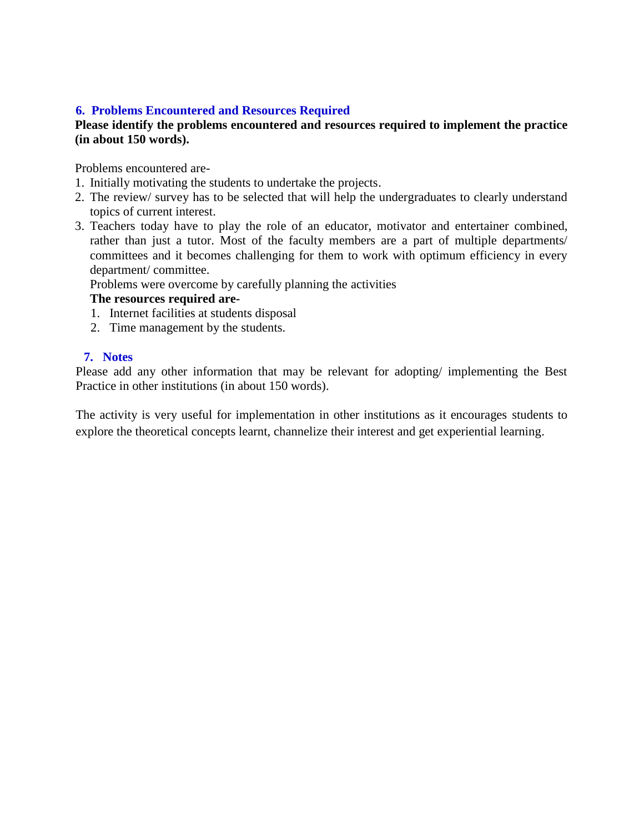# **6. Problems Encountered and Resources Required**

#### **Please identify the problems encountered and resources required to implement the practice (in about 150 words).**

Problems encountered are-

- 1. Initially motivating the students to undertake the projects.
- 2. The review/ survey has to be selected that will help the undergraduates to clearly understand topics of current interest.
- 3. Teachers today have to play the role of an educator, motivator and entertainer combined, rather than just a tutor. Most of the faculty members are a part of multiple departments/ committees and it becomes challenging for them to work with optimum efficiency in every department/ committee.

Problems were overcome by carefully planning the activities

#### **The resources required are-**

- 1. Internet facilities at students disposal
- 2. Time management by the students.

#### **7. Notes**

Please add any other information that may be relevant for adopting/ implementing the Best Practice in other institutions (in about 150 words).

The activity is very useful for implementation in other institutions as it encourages students to explore the theoretical concepts learnt, channelize their interest and get experiential learning.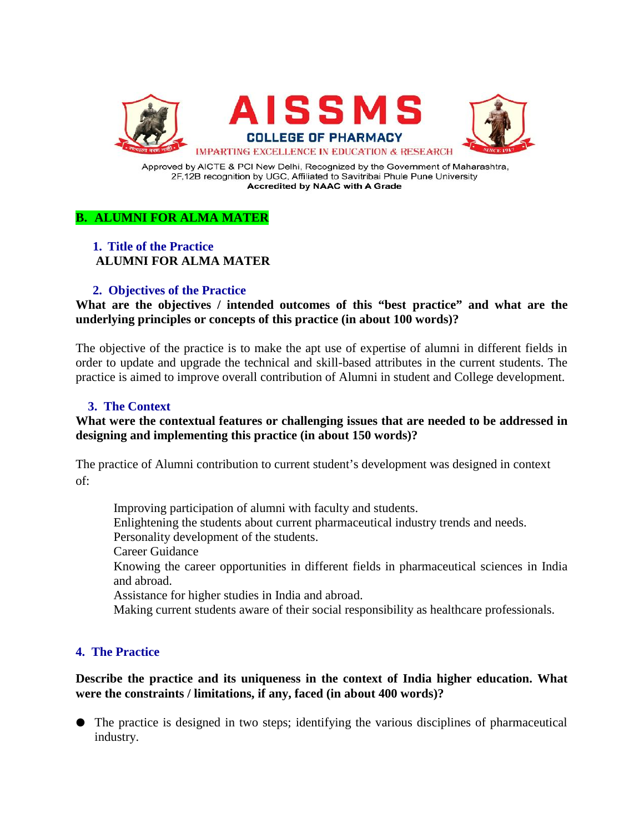

Approved by AICTE & PCI New Delhi, Recognized by the Government of Maharashtra, 2F,12B recognition by UGC, Affiliated to Savitribai Phule Pune University **Accredited by NAAC with A Grade** 

# **B. ALUMNI FOR ALMA MATER**

# **1. Title of the Practice ALUMNI FOR ALMA MATER**

#### **2. Objectives of the Practice**

**What are the objectives / intended outcomes of this "best practice" and what are the underlying principles or concepts of this practice (in about 100 words)?**

The objective of the practice is to make the apt use of expertise of alumni in different fields in order to update and upgrade the technical and skill-based attributes in the current students. The practice is aimed to improve overall contribution of Alumni in student and College development.

# **3. The Context**

#### **What were the contextual features or challenging issues that are needed to be addressed in designing and implementing this practice (in about 150 words)?**

The practice of Alumni contribution to current student's development was designed in context of:

Improving participation of alumni with faculty and students.

Enlightening the students about current pharmaceutical industry trends and needs.

Personality development of the students.

Career Guidance

Knowing the career opportunities in different fields in pharmaceutical sciences in India and abroad.

Assistance for higher studies in India and abroad.

Making current students aware of their social responsibility as healthcare professionals.

# **4. The Practice**

#### **Describe the practice and its uniqueness in the context of India higher education. What were the constraints / limitations, if any, faced (in about 400 words)?**

● The practice is designed in two steps; identifying the various disciplines of pharmaceutical industry.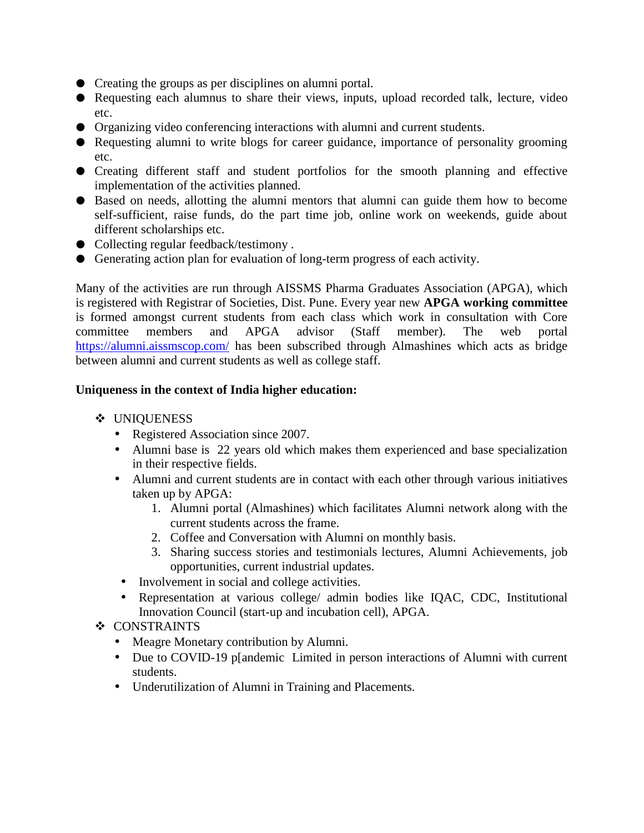- Creating the groups as per disciplines on alumni portal.
- Requesting each alumnus to share their views, inputs, upload recorded talk, lecture, video etc.
- Organizing video conferencing interactions with alumni and current students.
- Requesting alumni to write blogs for career guidance, importance of personality grooming etc.
- Creating different staff and student portfolios for the smooth planning and effective implementation of the activities planned.
- Based on needs, allotting the alumni mentors that alumni can guide them how to become self-sufficient, raise funds, do the part time job, online work on weekends, guide about different scholarships etc.
- Collecting regular feedback/testimony.
- Generating action plan for evaluation of long-term progress of each activity.

Many of the activities are run through AISSMS Pharma Graduates Association (APGA), which is registered with Registrar of Societies, Dist. Pune. Every year new **APGA working committee** is formed amongst current students from each class which work in consultation with Core committee members and APGA advisor (Staff member). The web portal https://alumni.aissmscop.com/ has been subscribed through Almashines which acts as bridge between alumni and current students as well as college staff.

#### **Uniqueness in the context of India higher education:**

- ❖ UNIOUENESS
	- Registered Association since 2007.
	- Alumni base is 22 years old which makes them experienced and base specialization in their respective fields.
	- Alumni and current students are in contact with each other through various initiatives taken up by APGA:
		- 1. Alumni portal (Almashines) which facilitates Alumni network along with the current students across the frame.
		- 2. Coffee and Conversation with Alumni on monthly basis.
		- 3. Sharing success stories and testimonials lectures, Alumni Achievements, job opportunities, current industrial updates.
	- Involvement in social and college activities.
	- Representation at various college/ admin bodies like IQAC, CDC, Institutional Innovation Council (start-up and incubation cell), APGA.
- ❖ CONSTRAINTS
	- Meagre Monetary contribution by Alumni.
	- Due to COVID-19 p[andemic Limited in person interactions of Alumni with current students.
	- Underutilization of Alumni in Training and Placements.